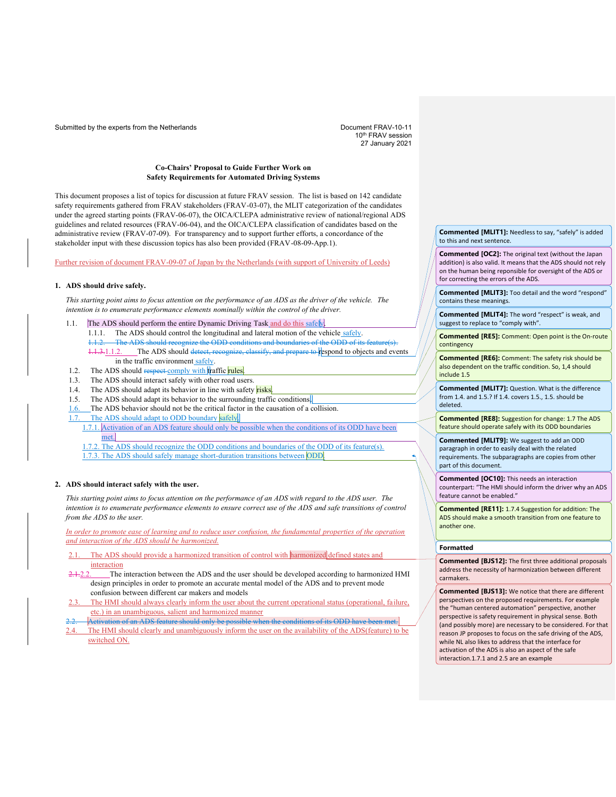Submitted by the experts from the Netherlands **Document FRAV-10-11** Document FRAV-10-11

10th FRAV session 27 January 2021

## **Co-Chairs' Proposal to Guide Further Work on Safety Requirements for Automated Driving Systems**

This document proposes a list of topics for discussion at future FRAV session. The list is based on 142 candidate safety requirements gathered from FRAV stakeholders (FRAV-03-07), the MLIT categorization of the candidates under the agreed starting points (FRAV-06-07), the OICA/CLEPA administrative review of national/regional ADS guidelines and related resources (FRAV-06-04), and the OICA/CLEPA classification of candidates based on the administrative review (FRAV-07-09). For transparency and to support further efforts, a concordance of the stakeholder input with these discussion topics has also been provided (FRAV-08-09-App.1).

Further revision of document FRAV-09-07 of Japan by the Netherlands (with support of University of Leeds)

### **1. ADS should drive safely.**

*This starting point aims to focus attention on the performance of an ADS as the driver of the vehicle. The intention is to enumerate performance elements nominally within the control of the driver.*

- 1.1. The ADS should perform the entire Dynamic Driving Task and do this safely. 1.1.1. The ADS should control the longitudinal and lateral motion of the vehicle safely. The ADS should recognize the ODD conditions and boundaries of the ODD of its fe
	- 1.1.3.1.1.2. The ADS should detect, recognize, classify, and prepare to respond to objects and events in the traffic environment safely.
- 1.2. The ADS should respect comply with traffic rules.
- 1.3. The ADS should interact safely with other road users.
- 1.4. The ADS should adapt its behavior in line with safety risks.
- 1.5. The ADS should adapt its behavior to the surrounding traffic conditions.
- The ADS behavior should not be the critical factor in the causation of a collision.
- 1.7. The ADS should adapt to ODD boundary safely.
	- 1.7.1. Activation of an ADS feature should only be possible when the conditions of its ODD have been met.
	- The ADS should recognize the ODD conditions and boundaries of the ODD of its feature(s).
	- 1.7.3. The ADS should safely manage short-duration transitions between ODD.

#### **2. ADS should interact safely with the user.**

*This starting point aims to focus attention on the performance of an ADS with regard to the ADS user. The intention is to enumerate performance elements to ensure correct use of the ADS and safe transitions of control from the ADS to the user.*

*In order to promote ease of learning and to reduce user confusion, the fundamental properties of the operation and interaction of the ADS should be harmonized.*

- The ADS should provide a harmonized transition of control with harmonized defined states and interaction
- 2.1.2.2. The interaction between the ADS and the user should be developed according to harmonized HMI design principles in order to promote an accurate mental model of the ADS and to prevent mode confusion between different car makers and models
- 2.3. The HMI should always clearly inform the user about the current operational status (operational, failure, etc.) in an unambiguous, salient and harmonized manner
- 2.2. Activation of an ADS feature should only be possible when the conditions of its ODD have been met. The HMI should clearly and unambiguously inform the user on the availability of the ADS(feature) to be switched ON.

### **Commented [MLIT1]:** Needless to say, "safely" is added to this and next sentence.

**Commented [OC2]:** The original text (without the Japan addition) is also valid. It means that the ADS should not rely on the human being reponsible for oversight of the ADS or for correcting the errors of the ADS.

**Commented [MLIT3]:** Too detail and the word "respond" contains these meanings.

**Commented [MLIT4]:** The word "respect" is weak, and suggest to replace to "comply with".

**Commented [RE5]:** Comment: Open point is the On-route contingency

**Commented [RE6]:** Comment: The safety risk should be also dependent on the traffic condition. So, 1,4 should include 1.5

**Commented [MLIT7]:** Question. What is the difference from 1.4. and 1.5.? If 1.4. covers 1.5., 1.5. should be deleted.

**Commented [RE8]:** Suggestion for change: 1.7 The ADS feature should operate safely with its ODD boundaries

**Commented [MLIT9]:** We suggest to add an ODD paragraph in order to easily deal with the related requirements. The subparagraphs are copies from other part of this document.

**Commented [OC10]:** This needs an interaction counterpart: "The HMI should inform the driver why an ADS feature cannot be enabled."

**Commented [RE11]:** 1.7.4 Suggestion for addition: The ADS should make a smooth transition from one feature to another one.

## **Formatted**

**Commented [BJS12]:** The first three additional proposals address the necessity of harmonization between different carmakers.

**Commented [BJS13]:** We notice that there are different perspectives on the proposed requirements. For example the "human centered automation" perspective, another perspective is safety requirement in physical sense. Both (and possibly more) are necessary to be considered. For that reason JP proposes to focus on the safe driving of the ADS, while NL also likes to address that the interface for activation of the ADS is also an aspect of the safe interaction.1.7.1 and 2.5 are an example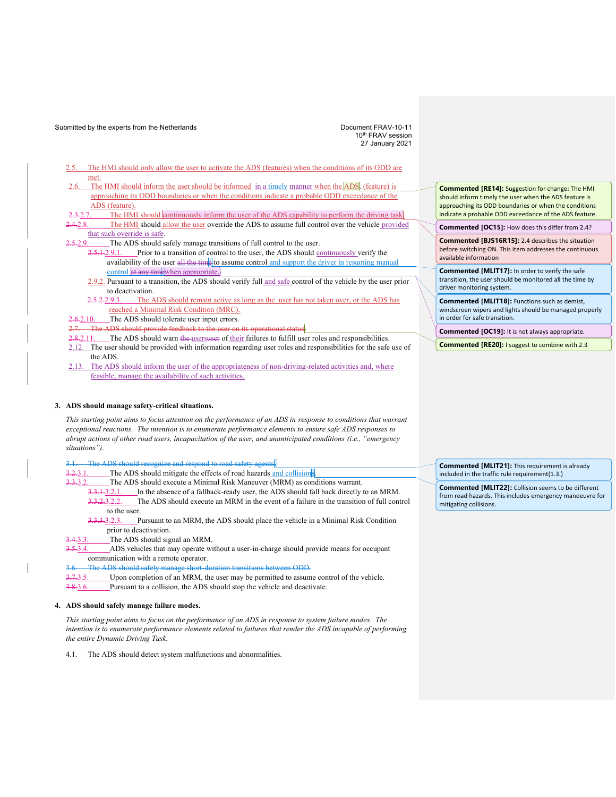Submitted by the experts from the Netherlands **Document FRAV-10-11** Document FRAV-10-11

10th FRAV session 27 January 2021

- The HMI should only allow the user to activate the ADS (features) when the conditions of its ODD are met.
- The HMI should inform the user should be informed in a timely manner when the ADS. (feature) is approaching its ODD boundaries or when the conditions indicate a probable ODD exceedance of the ADS (feature).
- The HMI should continuously inform the user of the ADS capability to perform the driving task.
- 2.8. The HMI should allow the user override the ADS to assume full control over the vehicle provided that such override is safe.
- 5-2.9. The ADS should safely manage transitions of full control to the user.
	- $2.5.1.2.9.1$ . Prior to a transition of control to the user, the ADS should continuously verify the availability of the user all the time to assume control and support the driver in resuming manual control at any timewhen appropriate.
	- 2.9.2. Pursuant to a transition, the ADS should verify full and safe control of the vehicle by the user prior to deactivation.
	- 2.5.2.2.9.3. The ADS should remain active as long as the -user has not taken over, or the ADS has reached a Minimal Risk Condition (MRC).
- 2.6.2.10. The ADS should tolerate user input errors.
- 2.7. The ADS should provide feedback to the user on its operational status.

2.8.2.11. The ADS should warn the usersuser of their failures to fulfill user roles and responsibilities. 2.12. The user should be provided with information regarding user roles and responsibilities for the safe use of the ADS.

2.13. The ADS should inform the user of the appropriateness of non-driving-related activities and, where feasible, manage the availability of such activities.

### **3. ADS should manage safety-critical situations.**

*This starting point aims to focus attention on the performance of an ADS in response to conditions that warrant exceptional reactions. The intention is to enumerate performance elements to ensure safe ADS responses to abrupt actions of other road users, incapacitation of the user, and unanticipated conditions (i.e., "emergency situations").*

afety agents.

3.2.3.1. The ADS should mitigate the effects of road hazards and collisions

- 3.3.3.2. The ADS should execute a Minimal Risk Maneuver (MRM) as conditions warrant.
	- $3.3.1.3.2.1.$  In the absence of a fallback-ready user, the ADS should fall back directly to an MRM. 3.3.2.3.2.2. The ADS should execute an MRM in the event of a failure in the transition of full control to the user.
	- 3.3.3.3.2.3. Pursuant to an MRM, the ADS should place the vehicle in a Minimal Risk Condition prior to deactivation.
- 3.4.3.3. The ADS should signal an MRM.

5.3.4. ADS vehicles that may operate without a user-in-charge should provide means for occupant communication with a remote operator.

3.6. The ADS should safely manage short-duration transitions between ODD.

- 3.7.3.5. Upon completion of an MRM, the user may be permitted to assume control of the vehicle.
- 3.8.3.6. Pursuant to a collision, the ADS should stop the vehicle and deactivate.

### **4. ADS should safely manage failure modes.**

*This starting point aims to focus on the performance of an ADS in response to system failure modes. The intention is to enumerate performance elements related to failures that render the ADS incapable of performing the entire Dynamic Driving Task.*

4.1. The ADS should detect system malfunctions and abnormalities.

**Commented [RE14]:** Suggestion for change: The HMI should inform timely the user when the ADS feature is approaching its ODD boundaries or when the conditions indicate a probable ODD exceedance of the ADS feature.

**Commented [OC15]:** How does this differ from 2.4?

**Commented [BJS16R15]:** 2.4 describes the situation before switching ON. This item addresses the continuous available information

**Commented [MLIT17]:** In order to verify the safe transition, the user should be monitored all the time by driver monitoring system.

**Commented [MLIT18]:** Functions such as demist, windscreen wipers and lights should be managed properly in order for safe transition.

**Commented [OC19]:** It is not always appropriate.

**Commented [RE20]:** I suggest to combine with 2.3

**Commented [MLIT21]:** This requirement is already included in the traffic rule requirement(1.3.)

**Commented [MLIT22]:** Collision seems to be different from road hazards. This includes emergency manoeuvre for mitigating collisions.